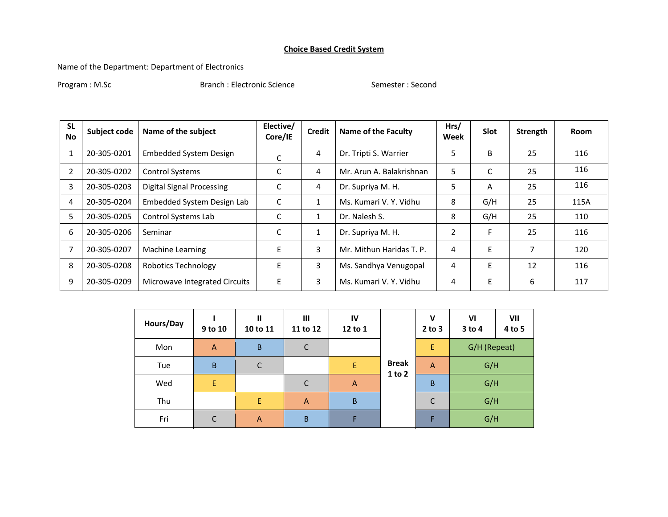## **Choice Based Credit System**

Name of the Department: Department of Electronics

Program : M.Sc Second Branch : Electronic Science Semester : Second Semester : Second

| <b>SL</b><br>No. | Subject code | Name of the subject              | Elective/<br><b>Credit</b><br><b>Name of the Faculty</b><br>Core/IE |              | Hrs/<br>Week             | <b>Slot</b>    | Strength | Room |      |
|------------------|--------------|----------------------------------|---------------------------------------------------------------------|--------------|--------------------------|----------------|----------|------|------|
|                  | 20-305-0201  | <b>Embedded System Design</b>    | С                                                                   | 4            | Dr. Tripti S. Warrier    | 5              | B        | 25   | 116  |
|                  | 20-305-0202  | <b>Control Systems</b>           | C                                                                   | 4            | Mr. Arun A. Balakrishnan | 5              | C        | 25   | 116  |
| 3                | 20-305-0203  | <b>Digital Signal Processing</b> |                                                                     | 4            | Dr. Supriya M. H.        | 5              | A        | 25   | 116  |
| 4                | 20-305-0204  | Embedded System Design Lab       |                                                                     | 1            | Ms. Kumari V. Y. Vidhu   | 8              | G/H      | 25   | 115A |
| 5                | 20-305-0205  | Control Systems Lab              | C                                                                   | $\mathbf{1}$ | Dr. Nalesh S.            | 8              | G/H      | 25   | 110  |
| 6                | 20-305-0206  | Seminar                          |                                                                     | $\mathbf{1}$ | Dr. Supriya M. H.        | $\overline{2}$ | F        | 25   | 116  |
|                  | 20-305-0207  | Machine Learning                 | E                                                                   | 3            | Mr. Mithun Haridas T. P. | 4              | E        | 7    | 120  |
| 8                | 20-305-0208  | <b>Robotics Technology</b>       | E                                                                   | 3            | Ms. Sandhya Venugopal    | 4              | E        | 12   | 116  |
| 9                | 20-305-0209  | Microwave Integrated Circuits    | E                                                                   | 3            | Ms. Kumari V. Y. Vidhu   | 4              | E        | 6    | 117  |

| Hours/Day | $\mathbf{II}$<br>III<br>IV<br>9 to 10<br>10 to 11<br>12 to 1<br>11 to 12 |                |              | $\mathbf v$<br>$2$ to $3$ | V <sub>l</sub><br>$3$ to 4 | VII<br>4 to 5  |              |  |
|-----------|--------------------------------------------------------------------------|----------------|--------------|---------------------------|----------------------------|----------------|--------------|--|
| Mon       | $\overline{A}$                                                           | B              | $\mathsf{C}$ |                           |                            | E              | G/H (Repeat) |  |
| Tue       | $\sf B$                                                                  | C              |              | E                         | <b>Break</b>               | $\overline{A}$ | G/H          |  |
| Wed       | E                                                                        |                | $\mathsf{C}$ | $\overline{A}$            | $1$ to $2$                 | B              | G/H          |  |
| Thu       |                                                                          | E.             | A            | $\sf B$                   |                            | C              | G/H          |  |
| Fri       | C                                                                        | $\overline{A}$ | $\sf B$      | Е                         |                            | F              | G/H          |  |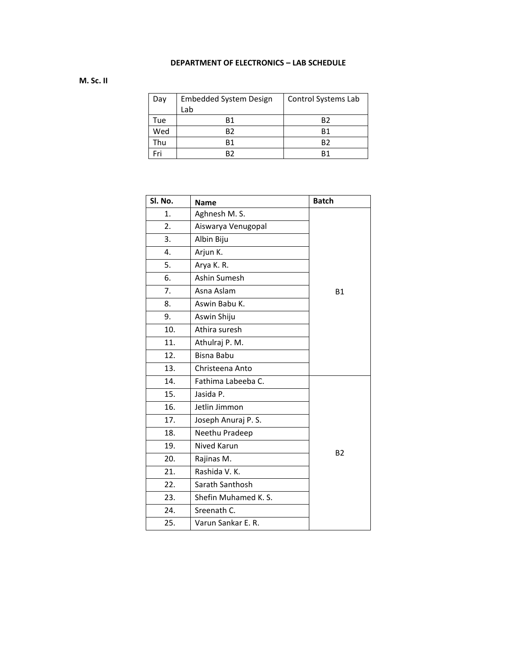## **DEPARTMENT OF ELECTRONICS – LAB SCHEDULE**

## **M. Sc. II**

| Day | <b>Embedded System Design</b> | Control Systems Lab |  |  |  |
|-----|-------------------------------|---------------------|--|--|--|
|     | Lab                           |                     |  |  |  |
| Tue | R1                            | R2                  |  |  |  |
| Wed | B2                            | R1                  |  |  |  |
| Thu | R1                            | R2                  |  |  |  |
| Fri | R7                            | R1                  |  |  |  |

| SI. No. | <b>Name</b>          | <b>Batch</b> |
|---------|----------------------|--------------|
| 1.      | Aghnesh M. S.        |              |
| 2.      | Aiswarya Venugopal   |              |
| 3.      | Albin Biju           |              |
| 4.      | Arjun K.             |              |
| 5.      | Arya K. R.           |              |
| 6.      | Ashin Sumesh         |              |
| 7.      | Asna Aslam           | <b>B1</b>    |
| 8.      | Aswin Babu K.        |              |
| 9.      | Aswin Shiju          |              |
| 10.     | Athira suresh        |              |
| 11.     | Athulraj P. M.       |              |
| 12.     | <b>Bisna Babu</b>    |              |
| 13.     | Christeena Anto      |              |
| 14.     | Fathima Labeeba C.   |              |
| 15.     | Jasida P.            |              |
| 16.     | Jetlin Jimmon        |              |
| 17.     | Joseph Anuraj P.S.   |              |
| 18.     | Neethu Pradeep       |              |
| 19.     | Nived Karun          |              |
| 20.     | Rajinas M.           | <b>B2</b>    |
| 21.     | Rashida V. K.        |              |
| 22.     | Sarath Santhosh      |              |
| 23.     | Shefin Muhamed K. S. |              |
| 24.     | Sreenath C.          |              |
| 25.     | Varun Sankar E. R.   |              |